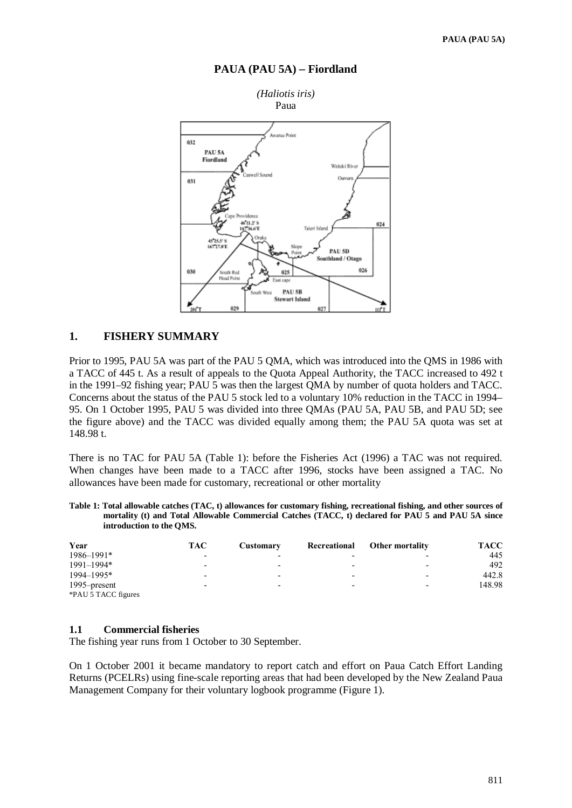

#### **PAUA (PAU 5A)** − **Fiordland**

# **1. FISHERY SUMMARY**

Prior to 1995, PAU 5A was part of the PAU 5 QMA, which was introduced into the QMS in 1986 with a TACC of 445 t. As a result of appeals to the Quota Appeal Authority, the TACC increased to 492 t in the 1991–92 fishing year; PAU 5 was then the largest QMA by number of quota holders and TACC. Concerns about the status of the PAU 5 stock led to a voluntary 10% reduction in the TACC in 1994– 95. On 1 October 1995, PAU 5 was divided into three QMAs (PAU 5A, PAU 5B, and PAU 5D; see the figure above) and the TACC was divided equally among them; the PAU 5A quota was set at 148.98 t.

There is no TAC for PAU 5A (Table 1): before the Fisheries Act (1996) a TAC was not required. When changes have been made to a TACC after 1996, stocks have been assigned a TAC. No allowances have been made for customary, recreational or other mortality

**Table 1: Total allowable catches (TAC, t) allowances for customary fishing, recreational fishing, and other sources of mortality (t) and Total Allowable Commercial Catches (TACC, t) declared for PAU 5 and PAU 5A since introduction to the QMS.**

| Year                | TAC                      | Customary                | Recreational | <b>Other mortality</b>   | <b>TACC</b> |
|---------------------|--------------------------|--------------------------|--------------|--------------------------|-------------|
| 1986-1991*          | $\overline{\phantom{0}}$ | $\overline{\phantom{0}}$ |              |                          | 445         |
| 1991-1994*          | -                        | $\overline{\phantom{0}}$ | -            |                          | 492         |
| 1994-1995*          | -                        | $\overline{\phantom{0}}$ | -            |                          | 442.8       |
| 1995–present        | -                        | $\overline{\phantom{0}}$ | -            | $\overline{\phantom{0}}$ | 148.98      |
| *PAU 5 TACC figures |                          |                          |              |                          |             |

#### **1.1 Commercial fisheries**

The fishing year runs from 1 October to 30 September.

On 1 October 2001 it became mandatory to report catch and effort on Paua Catch Effort Landing Returns (PCELRs) using fine-scale reporting areas that had been developed by the New Zealand Paua Management Company for their voluntary logbook programme (Figure 1).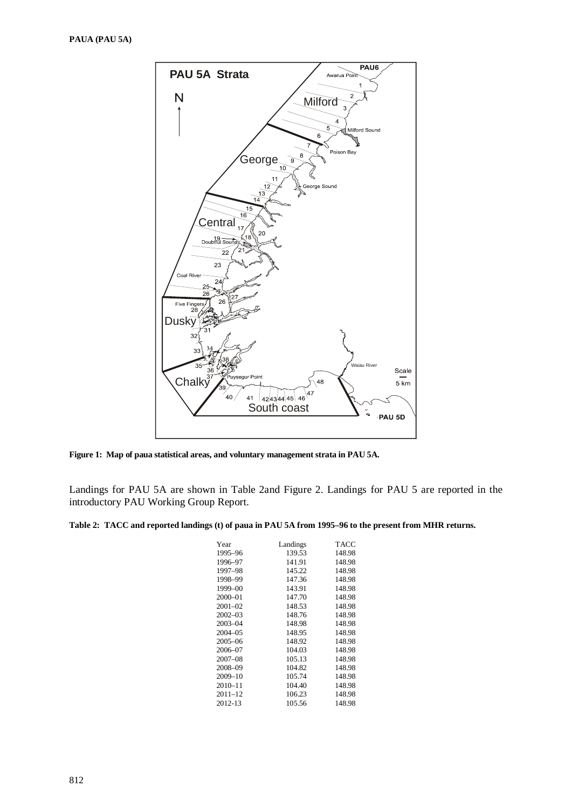

**Figure 1: Map of paua statistical areas, and voluntary management strata in PAU 5A.**

Landings for PAU 5A are shown in Table 2and Figure 2. Landings for PAU 5 are reported in the introductory PAU Working Group Report.

#### **Table 2: TACC and reported landings (t) of paua in PAU 5A from 1995–96 to the present from MHR returns.**

| Year        | Landings | <b>TACC</b> |
|-------------|----------|-------------|
| 1995-96     | 139.53   | 148.98      |
| 1996-97     | 141.91   | 148.98      |
| 1997–98     | 145.22   | 148.98      |
| 1998-99     | 147.36   | 148.98      |
| $1999 - 00$ | 143.91   | 148.98      |
| 2000-01     | 147.70   | 148.98      |
| $2001 - 02$ | 148.53   | 148.98      |
| $2002 - 03$ | 148.76   | 148.98      |
| 2003-04     | 148.98   | 148.98      |
| 2004-05     | 148.95   | 148.98      |
| $2005 - 06$ | 148.92   | 148.98      |
| 2006-07     | 104.03   | 148.98      |
| $2007 - 08$ | 105.13   | 148.98      |
| 2008-09     | 104.82   | 148.98      |
| 2009-10     | 105.74   | 148.98      |
| $2010 - 11$ | 104.40   | 148.98      |
| 2011–12     | 106.23   | 148.98      |
| 2012-13     | 105.56   | 148.98      |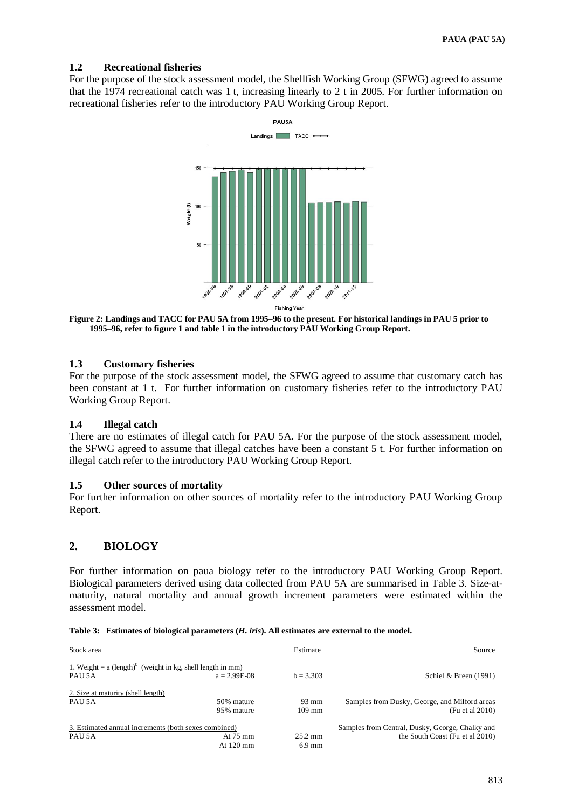# **1.2 Recreational fisheries**

For the purpose of the stock assessment model, the Shellfish Working Group (SFWG) agreed to assume that the 1974 recreational catch was 1 t, increasing linearly to 2 t in 2005. For further information on recreational fisheries refer to the introductory PAU Working Group Report.



**Figure 2: Landings and TACC for PAU 5A from 1995–96 to the present. For historical landings in PAU 5 prior to 1995–96, refer to figure 1 and table 1 in the introductory PAU Working Group Report.** 

# **1.3 Customary fisheries**

For the purpose of the stock assessment model, the SFWG agreed to assume that customary catch has been constant at 1 t. For further information on customary fisheries refer to the introductory PAU Working Group Report.

# **1.4 Illegal catch**

There are no estimates of illegal catch for PAU 5A. For the purpose of the stock assessment model, the SFWG agreed to assume that illegal catches have been a constant 5 t. For further information on illegal catch refer to the introductory PAU Working Group Report.

#### **1.5 Other sources of mortality**

For further information on other sources of mortality refer to the introductory PAU Working Group Report.

# **2. BIOLOGY**

For further information on paua biology refer to the introductory PAU Working Group Report. Biological parameters derived using data collected from PAU 5A are summarised in Table 3. Size-atmaturity, natural mortality and annual growth increment parameters were estimated within the assessment model.

| Stock area                                                                         |                     | Estimate          | Source                                          |
|------------------------------------------------------------------------------------|---------------------|-------------------|-------------------------------------------------|
| 1. Weight = $a$ (length) <sup>b</sup> (weight in kg, shell length in mm)<br>PAU 5A | $a = 2.99E-0.8$     | $b = 3.303$       | Schiel & Breen $(1991)$                         |
| 2. Size at maturity (shell length)                                                 | 50% mature          | $93 \text{ mm}$   | Samples from Dusky, George, and Milford areas   |
| PAU 5A                                                                             | 95% mature          | $109 \text{ mm}$  | (Fu et al 2010)                                 |
| 3. Estimated annual increments (both sexes combined)                               | At $75 \text{ mm}$  | $25.2 \text{ mm}$ | Samples from Central, Dusky, George, Chalky and |
| PAU 5A                                                                             | At $120 \text{ mm}$ | $6.9 \text{ mm}$  | the South Coast (Fu et al 2010)                 |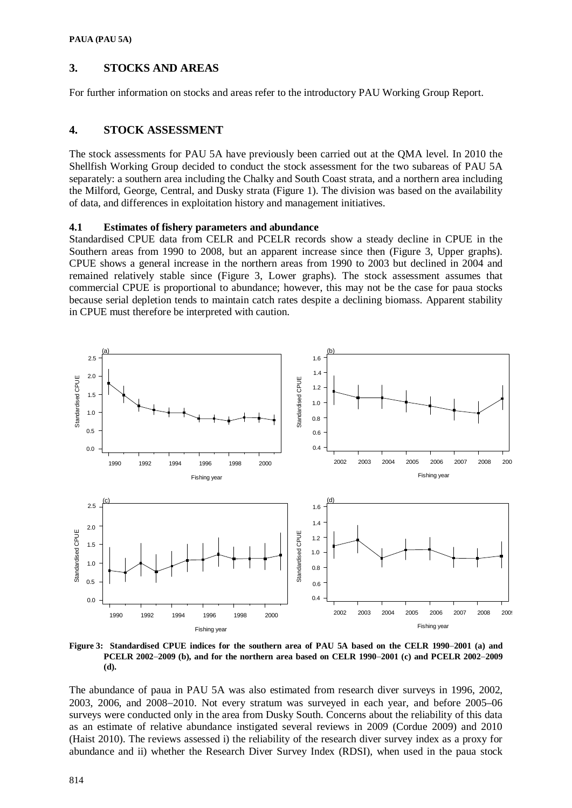# **3. STOCKS AND AREAS**

For further information on stocks and areas refer to the introductory PAU Working Group Report.

# **4. STOCK ASSESSMENT**

The stock assessments for PAU 5A have previously been carried out at the QMA level. In 2010 the Shellfish Working Group decided to conduct the stock assessment for the two subareas of PAU 5A separately: a southern area including the Chalky and South Coast strata, and a northern area including the Milford, George, Central, and Dusky strata (Figure 1). The division was based on the availability of data, and differences in exploitation history and management initiatives.

### **4.1 Estimates of fishery parameters and abundance**

Standardised CPUE data from CELR and PCELR records show a steady decline in CPUE in the Southern areas from 1990 to 2008, but an apparent increase since then (Figure 3, Upper graphs). CPUE shows a general increase in the northern areas from 1990 to 2003 but declined in 2004 and remained relatively stable since (Figure 3, Lower graphs). The stock assessment assumes that commercial CPUE is proportional to abundance; however, this may not be the case for paua stocks because serial depletion tends to maintain catch rates despite a declining biomass. Apparent stability in CPUE must therefore be interpreted with caution.



**Figure 3: Standardised CPUE indices for the southern area of PAU 5A based on the CELR 1990**−**2001 (a) and PCELR 2002**−**2009 (b), and for the northern area based on CELR 1990**−**2001 (c) and PCELR 2002**−**2009 (d).**

The abundance of paua in PAU 5A was also estimated from research diver surveys in 1996, 2002, 2003, 2006, and 2008−2010. Not every stratum was surveyed in each year, and before 2005–06 surveys were conducted only in the area from Dusky South. Concerns about the reliability of this data as an estimate of relative abundance instigated several reviews in 2009 (Cordue 2009) and 2010 (Haist 2010). The reviews assessed i) the reliability of the research diver survey index as a proxy for abundance and ii) whether the Research Diver Survey Index (RDSI), when used in the paua stock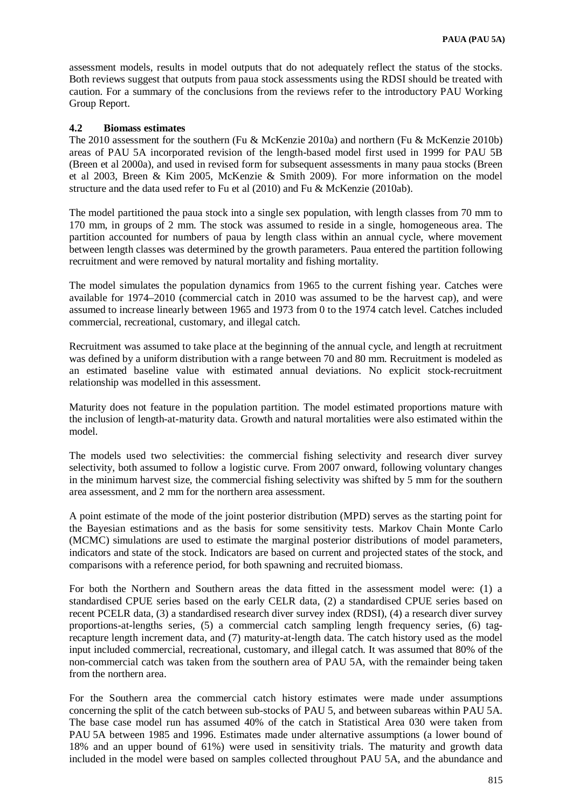assessment models, results in model outputs that do not adequately reflect the status of the stocks. Both reviews suggest that outputs from paua stock assessments using the RDSI should be treated with caution. For a summary of the conclusions from the reviews refer to the introductory PAU Working Group Report.

# **4.2 Biomass estimates**

The 2010 assessment for the southern (Fu & McKenzie 2010a) and northern (Fu & McKenzie 2010b) areas of PAU 5A incorporated revision of the length-based model first used in 1999 for PAU 5B (Breen et al 2000a), and used in revised form for subsequent assessments in many paua stocks (Breen et al 2003, Breen & Kim 2005, McKenzie & Smith 2009). For more information on the model structure and the data used refer to Fu et al (2010) and Fu & McKenzie (2010ab).

The model partitioned the paua stock into a single sex population, with length classes from 70 mm to 170 mm, in groups of 2 mm. The stock was assumed to reside in a single, homogeneous area. The partition accounted for numbers of paua by length class within an annual cycle, where movement between length classes was determined by the growth parameters. Paua entered the partition following recruitment and were removed by natural mortality and fishing mortality.

The model simulates the population dynamics from 1965 to the current fishing year. Catches were available for 1974–2010 (commercial catch in 2010 was assumed to be the harvest cap), and were assumed to increase linearly between 1965 and 1973 from 0 to the 1974 catch level. Catches included commercial, recreational, customary, and illegal catch.

Recruitment was assumed to take place at the beginning of the annual cycle, and length at recruitment was defined by a uniform distribution with a range between 70 and 80 mm. Recruitment is modeled as an estimated baseline value with estimated annual deviations. No explicit stock-recruitment relationship was modelled in this assessment.

Maturity does not feature in the population partition. The model estimated proportions mature with the inclusion of length-at-maturity data. Growth and natural mortalities were also estimated within the model.

The models used two selectivities: the commercial fishing selectivity and research diver survey selectivity, both assumed to follow a logistic curve. From 2007 onward, following voluntary changes in the minimum harvest size, the commercial fishing selectivity was shifted by 5 mm for the southern area assessment, and 2 mm for the northern area assessment.

A point estimate of the mode of the joint posterior distribution (MPD) serves as the starting point for the Bayesian estimations and as the basis for some sensitivity tests. Markov Chain Monte Carlo (MCMC) simulations are used to estimate the marginal posterior distributions of model parameters, indicators and state of the stock. Indicators are based on current and projected states of the stock, and comparisons with a reference period, for both spawning and recruited biomass.

For both the Northern and Southern areas the data fitted in the assessment model were: (1) a standardised CPUE series based on the early CELR data, (2) a standardised CPUE series based on recent PCELR data, (3) a standardised research diver survey index (RDSI), (4) a research diver survey proportions-at-lengths series, (5) a commercial catch sampling length frequency series, (6) tagrecapture length increment data, and (7) maturity-at-length data. The catch history used as the model input included commercial, recreational, customary, and illegal catch. It was assumed that 80% of the non-commercial catch was taken from the southern area of PAU 5A, with the remainder being taken from the northern area.

For the Southern area the commercial catch history estimates were made under assumptions concerning the split of the catch between sub-stocks of PAU 5, and between subareas within PAU 5A. The base case model run has assumed 40% of the catch in Statistical Area 030 were taken from PAU 5A between 1985 and 1996. Estimates made under alternative assumptions (a lower bound of 18% and an upper bound of 61%) were used in sensitivity trials. The maturity and growth data included in the model were based on samples collected throughout PAU 5A, and the abundance and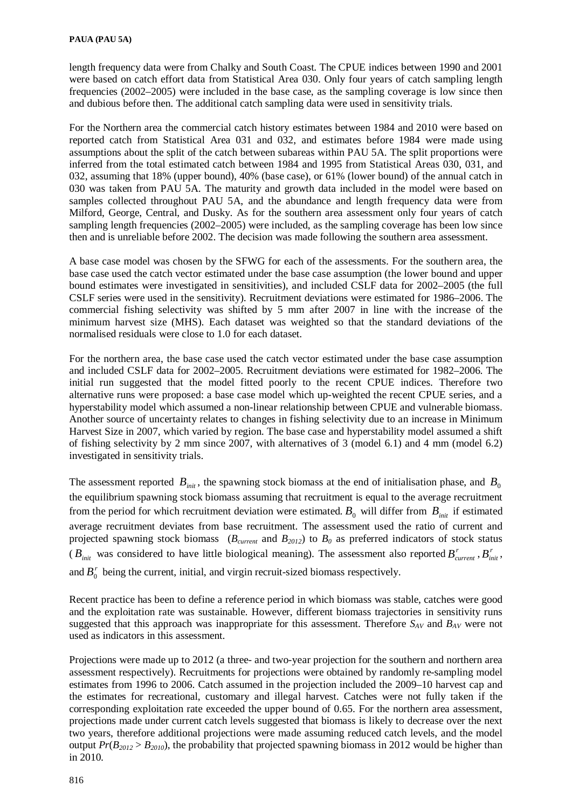length frequency data were from Chalky and South Coast. The CPUE indices between 1990 and 2001 were based on catch effort data from Statistical Area 030. Only four years of catch sampling length frequencies (2002–2005) were included in the base case, as the sampling coverage is low since then and dubious before then. The additional catch sampling data were used in sensitivity trials.

For the Northern area the commercial catch history estimates between 1984 and 2010 were based on reported catch from Statistical Area 031 and 032, and estimates before 1984 were made using assumptions about the split of the catch between subareas within PAU 5A. The split proportions were inferred from the total estimated catch between 1984 and 1995 from Statistical Areas 030, 031, and 032, assuming that 18% (upper bound), 40% (base case), or 61% (lower bound) of the annual catch in 030 was taken from PAU 5A. The maturity and growth data included in the model were based on samples collected throughout PAU 5A, and the abundance and length frequency data were from Milford, George, Central, and Dusky. As for the southern area assessment only four years of catch sampling length frequencies (2002–2005) were included, as the sampling coverage has been low since then and is unreliable before 2002. The decision was made following the southern area assessment.

A base case model was chosen by the SFWG for each of the assessments. For the southern area, the base case used the catch vector estimated under the base case assumption (the lower bound and upper bound estimates were investigated in sensitivities), and included CSLF data for 2002–2005 (the full CSLF series were used in the sensitivity). Recruitment deviations were estimated for 1986–2006. The commercial fishing selectivity was shifted by 5 mm after 2007 in line with the increase of the minimum harvest size (MHS). Each dataset was weighted so that the standard deviations of the normalised residuals were close to 1.0 for each dataset.

For the northern area, the base case used the catch vector estimated under the base case assumption and included CSLF data for 2002–2005. Recruitment deviations were estimated for 1982–2006. The initial run suggested that the model fitted poorly to the recent CPUE indices. Therefore two alternative runs were proposed: a base case model which up-weighted the recent CPUE series, and a hyperstability model which assumed a non-linear relationship between CPUE and vulnerable biomass. Another source of uncertainty relates to changes in fishing selectivity due to an increase in Minimum Harvest Size in 2007, which varied by region. The base case and hyperstability model assumed a shift of fishing selectivity by 2 mm since 2007, with alternatives of 3 (model 6.1) and 4 mm (model 6.2) investigated in sensitivity trials.

The assessment reported  $B_{\text{init}}$ , the spawning stock biomass at the end of initialisation phase, and  $B_0$ the equilibrium spawning stock biomass assuming that recruitment is equal to the average recruitment from the period for which recruitment deviation were estimated.  $B_0$  will differ from  $B_{init}$  if estimated average recruitment deviates from base recruitment. The assessment used the ratio of current and projected spawning stock biomass  $(B_{current}$  and  $B_{2012})$  to  $B_0$  as preferred indicators of stock status ( $B_{init}$  was considered to have little biological meaning). The assessment also reported  $B_{current}^r$ ,  $B_{init}^r$ , and  $B_0^r$  being the current, initial, and virgin recruit-sized biomass respectively.

Recent practice has been to define a reference period in which biomass was stable, catches were good and the exploitation rate was sustainable. However, different biomass trajectories in sensitivity runs suggested that this approach was inappropriate for this assessment. Therefore  $S_{AV}$  and  $B_{AV}$  were not used as indicators in this assessment.

Projections were made up to 2012 (a three- and two-year projection for the southern and northern area assessment respectively). Recruitments for projections were obtained by randomly re-sampling model estimates from 1996 to 2006. Catch assumed in the projection included the 2009–10 harvest cap and the estimates for recreational, customary and illegal harvest. Catches were not fully taken if the corresponding exploitation rate exceeded the upper bound of 0.65. For the northern area assessment, projections made under current catch levels suggested that biomass is likely to decrease over the next two years, therefore additional projections were made assuming reduced catch levels, and the model output  $Pr(B_{2012} > B_{2010})$ , the probability that projected spawning biomass in 2012 would be higher than in 2010*.*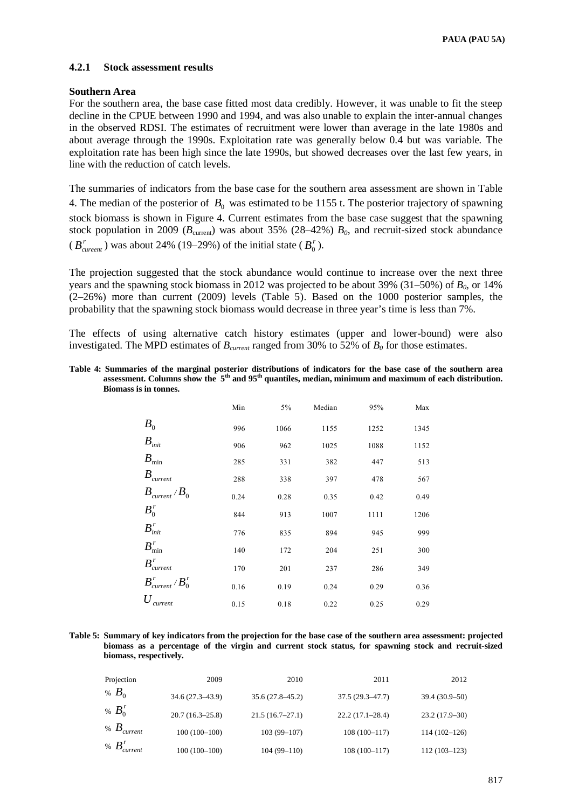## **4.2.1 Stock assessment results**

#### **Southern Area**

For the southern area, the base case fitted most data credibly. However, it was unable to fit the steep decline in the CPUE between 1990 and 1994, and was also unable to explain the inter-annual changes in the observed RDSI. The estimates of recruitment were lower than average in the late 1980s and about average through the 1990s. Exploitation rate was generally below 0.4 but was variable. The exploitation rate has been high since the late 1990s, but showed decreases over the last few years, in line with the reduction of catch levels.

The summaries of indicators from the base case for the southern area assessment are shown in Table 4. The median of the posterior of  $B_0$  was estimated to be 1155 t. The posterior trajectory of spawning stock biomass is shown in Figure 4. Current estimates from the base case suggest that the spawning stock population in 2009 ( $B_{\text{current}}$ ) was about 35% (28–42%)  $B_0$ , and recruit-sized stock abundance  $(B_{\text{current}}^r)$  was about 24% (19–29%) of the initial state  $(B_0^r)$ .

The projection suggested that the stock abundance would continue to increase over the next three years and the spawning stock biomass in 2012 was projected to be about 39% (31–50%) of *B0*, or 14% (2–26%) more than current (2009) levels (Table 5). Based on the 1000 posterior samples, the probability that the spawning stock biomass would decrease in three year's time is less than 7%.

The effects of using alternative catch history estimates (upper and lower-bound) were also investigated. The MPD estimates of  $B_{current}$  ranged from 30% to 52% of  $B_0$  for those estimates.

**Table 4: Summaries of the marginal posterior distributions of indicators for the base case of the southern area assessment. Columns show the 5th and 95th quantiles, median, minimum and maximum of each distribution. Biomass is in tonnes.** 

|                                    | Min  | $5\%$ | Median | 95%  | Max  |
|------------------------------------|------|-------|--------|------|------|
| $B_0$                              | 996  | 1066  | 1155   | 1252 | 1345 |
| $B_{\text{init}}$                  | 906  | 962   | 1025   | 1088 | 1152 |
| $B_{\text{min}}$                   | 285  | 331   | 382    | 447  | 513  |
| $B_{\text{current}}$               | 288  | 338   | 397    | 478  | 567  |
| $B_{\text{current}}/B_0$           | 0.24 | 0.28  | 0.35   | 0.42 | 0.49 |
| $B_0^r$                            | 844  | 913   | 1007   | 1111 | 1206 |
| $B_{init}^r$                       | 776  | 835   | 894    | 945  | 999  |
| $B^r_{\min}$                       | 140  | 172   | 204    | 251  | 300  |
| $B_{\textit{current}}^r$           | 170  | 201   | 237    | 286  | 349  |
| $B_{\textit{current}}^r$ / $B_0^r$ | 0.16 | 0.19  | 0.24   | 0.29 | 0.36 |
| current                            | 0.15 | 0.18  | 0.22   | 0.25 | 0.29 |

**Table 5: Summary of key indicators from the projection for the base case of the southern area assessment: projected biomass as a percentage of the virgin and current stock status, for spawning stock and recruit-sized biomass, respectively.** 

| Projection                 | 2009                | 2010                | 2011                | 2012            |
|----------------------------|---------------------|---------------------|---------------------|-----------------|
| % $B_0$                    | $34.6(27.3 - 43.9)$ | $35.6(27.8 - 45.2)$ | $37.5(29.3 - 47.7)$ | $39.4(30.9-50)$ |
| % $B_0^r$                  | $20.7(16.3-25.8)$   | 21.5(16.7–27.1)     | $22.2(17.1 - 28.4)$ | $23.2(17.9-30)$ |
| % $B_{\text{current}}$     | $100(100-100)$      | $103(99-107)$       | $108(100-117)$      | $114(102-126)$  |
| % $B_{\textit{current}}^r$ | $100(100-100)$      | $104(99-110)$       | $108(100-117)$      | $112(103-123)$  |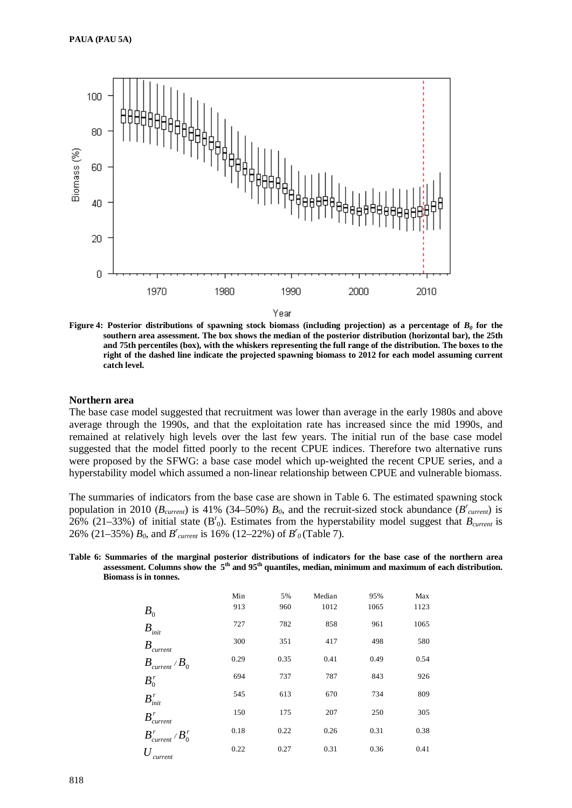

**Figure 4: Posterior distributions of spawning stock biomass (including projection) as a percentage of**  $B_0$  **for the southern area assessment. The box shows the median of the posterior distribution (horizontal bar), the 25th and 75th percentiles (box), with the whiskers representing the full range of the distribution. The boxes to the right of the dashed line indicate the projected spawning biomass to 2012 for each model assuming current catch level.**

#### **Northern area**

The base case model suggested that recruitment was lower than average in the early 1980s and above average through the 1990s, and that the exploitation rate has increased since the mid 1990s, and remained at relatively high levels over the last few years. The initial run of the base case model suggested that the model fitted poorly to the recent CPUE indices. Therefore two alternative runs were proposed by the SFWG: a base case model which up-weighted the recent CPUE series, and a hyperstability model which assumed a non-linear relationship between CPUE and vulnerable biomass.

The summaries of indicators from the base case are shown in Table 6. The estimated spawning stock population in 2010 ( $B_{\text{current}}$ ) is 41% (34–50%)  $B_0$ , and the recruit-sized stock abundance ( $B_{\text{current}}^r$ ) is 26% (21–33%) of initial state  $(B<sup>r</sup><sub>0</sub>)$ . Estimates from the hyperstability model suggest that  $B<sub>current</sub>$  is 26% (21–35%)  $B_0$ , and  $B_{current}$  is 16% (12–22%) of  $B_0^r$  (Table 7).

**Table 6: Summaries of the marginal posterior distributions of indicators for the base case of the northern area assessment. Columns show the 5th and 95th quantiles, median, minimum and maximum of each distribution. Biomass is in tonnes.** 

|                                    | Min  | 5%   | Median | 95%  | Max  |
|------------------------------------|------|------|--------|------|------|
| $B_{0}$                            | 913  | 960  | 1012   | 1065 | 1123 |
| $B_{\text{init}}$                  | 727  | 782  | 858    | 961  | 1065 |
| B<br><i>current</i>                | 300  | 351  | 417    | 498  | 580  |
| $B_{\text{current}}$ / $B_0$       | 0.29 | 0.35 | 0.41   | 0.49 | 0.54 |
| $B_0^r$                            | 694  | 737  | 787    | 843  | 926  |
| $B_{init}^r$                       | 545  | 613  | 670    | 734  | 809  |
| $B_{-}^{r}$<br>current             | 150  | 175  | 207    | 250  | 305  |
| $B_{\textit{current}}^r$ / $B_0^r$ | 0.18 | 0.22 | 0.26   | 0.31 | 0.38 |
| $\mathcal{U}$<br>current           | 0.22 | 0.27 | 0.31   | 0.36 | 0.41 |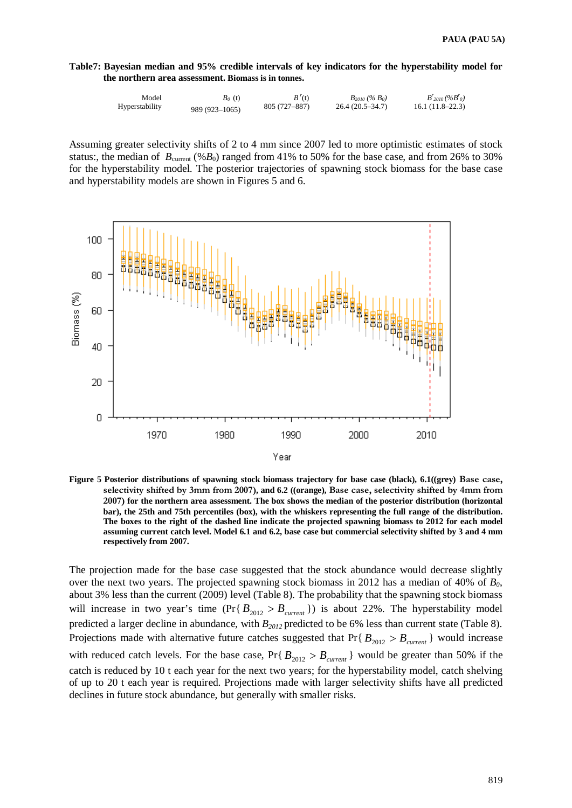**Table7: Bayesian median and 95% credible intervals of key indicators for the hyperstability model for the northern area assessment. Biomass is in tonnes.** 

| Model          | $B_0$ (t)      | B'(t)         | $B_{2010}$ (% $B_0$ ) | $B'_{2010}$ (% $B'_{0}$ ) |
|----------------|----------------|---------------|-----------------------|---------------------------|
| Hyperstability | 989 (923-1065) | 805 (727–887) | $26.4(20.5-34.7)$     | $16.1(11.8-22.3)$         |

Assuming greater selectivity shifts of 2 to 4 mm since 2007 led to more optimistic estimates of stock status:, the median of  $B_{\text{current}}$  (% $B_0$ ) ranged from 41% to 50% for the base case, and from 26% to 30% for the hyperstability model. The posterior trajectories of spawning stock biomass for the base case and hyperstability models are shown in Figures 5 and 6.



**Figure 5 Posterior distributions of spawning stock biomass trajectory for base case (black), 6.1((grey) Base case, selectivity shifted by 3mm from 2007), and 6.2 ((orange), Base case, selectivity shifted by 4mm from 2007) for the northern area assessment. The box shows the median of the posterior distribution (horizontal bar), the 25th and 75th percentiles (box), with the whiskers representing the full range of the distribution. The boxes to the right of the dashed line indicate the projected spawning biomass to 2012 for each model assuming current catch level. Model 6.1 and 6.2, base case but commercial selectivity shifted by 3 and 4 mm respectively from 2007.**

The projection made for the base case suggested that the stock abundance would decrease slightly over the next two years. The projected spawning stock biomass in 2012 has a median of  $40\%$  of  $B_0$ , about 3% less than the current (2009) level (Table 8). The probability that the spawning stock biomass will increase in two year's time  $(\Pr\{B_{2012} > B_{current}\})$  is about 22%. The hyperstability model predicted a larger decline in abundance, with  $B_{2012}$  predicted to be 6% less than current state (Table 8). Projections made with alternative future catches suggested that Pr{ $B_{2012} > B_{current}$ } would increase with reduced catch levels. For the base case,  $Pr{B_{2012} > B_{current}}$  would be greater than 50% if the catch is reduced by 10 t each year for the next two years; for the hyperstability model, catch shelving of up to 20 t each year is required. Projections made with larger selectivity shifts have all predicted declines in future stock abundance, but generally with smaller risks.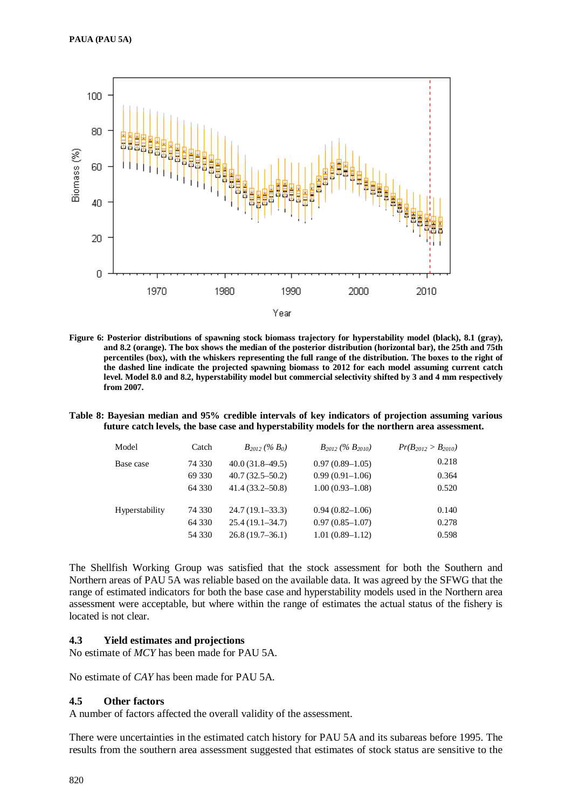

**Figure 6: Posterior distributions of spawning stock biomass trajectory for hyperstability model (black), 8.1 (gray), and 8.2 (orange). The box shows the median of the posterior distribution (horizontal bar), the 25th and 75th percentiles (box), with the whiskers representing the full range of the distribution. The boxes to the right of the dashed line indicate the projected spawning biomass to 2012 for each model assuming current catch level. Model 8.0 and 8.2, hyperstability model but commercial selectivity shifted by 3 and 4 mm respectively from 2007.**

**Table 8: Bayesian median and 95% credible intervals of key indicators of projection assuming various future catch levels, the base case and hyperstability models for the northern area assessment.**

| Model          | Catch  | $B_{2012}$ (% $B_0$ ) | $B_{2012}$ (% $B_{2010}$ ) | $Pr(B_{2012} > B_{2010})$ |
|----------------|--------|-----------------------|----------------------------|---------------------------|
| Base case      | 74 330 | $40.0(31.8-49.5)$     | $0.97(0.89-1.05)$          | 0.218                     |
|                | 69 330 | $40.7(32.5-50.2)$     | $0.99(0.91-1.06)$          | 0.364                     |
|                | 64 330 | $41.4(33.2 - 50.8)$   | $1.00(0.93 - 1.08)$        | 0.520                     |
| Hyperstability | 74 330 | $24.7(19.1-33.3)$     | $0.94(0.82 - 1.06)$        | 0.140                     |
|                | 64 330 | $25.4(19.1-34.7)$     | $0.97(0.85-1.07)$          | 0.278                     |
|                | 54 330 | $26.8(19.7-36.1)$     | $1.01(0.89-1.12)$          | 0.598                     |
|                |        |                       |                            |                           |

The Shellfish Working Group was satisfied that the stock assessment for both the Southern and Northern areas of PAU 5A was reliable based on the available data. It was agreed by the SFWG that the range of estimated indicators for both the base case and hyperstability models used in the Northern area assessment were acceptable, but where within the range of estimates the actual status of the fishery is located is not clear.

## **4.3 Yield estimates and projections**

No estimate of *MCY* has been made for PAU 5A.

No estimate of *CAY* has been made for PAU 5A.

#### **4.5 Other factors**

A number of factors affected the overall validity of the assessment.

There were uncertainties in the estimated catch history for PAU 5A and its subareas before 1995. The results from the southern area assessment suggested that estimates of stock status are sensitive to the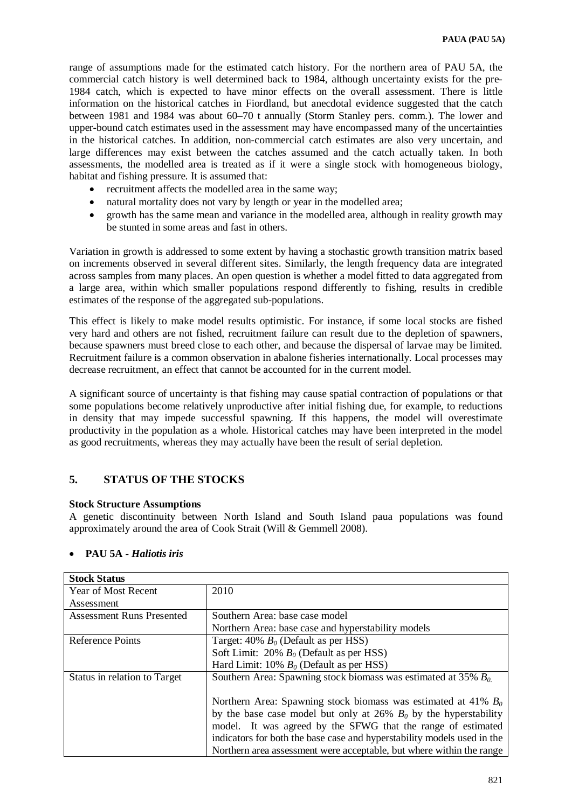range of assumptions made for the estimated catch history. For the northern area of PAU 5A, the commercial catch history is well determined back to 1984, although uncertainty exists for the pre-1984 catch, which is expected to have minor effects on the overall assessment. There is little information on the historical catches in Fiordland, but anecdotal evidence suggested that the catch between 1981 and 1984 was about 60–70 t annually (Storm Stanley pers. comm.). The lower and upper-bound catch estimates used in the assessment may have encompassed many of the uncertainties in the historical catches. In addition, non-commercial catch estimates are also very uncertain, and large differences may exist between the catches assumed and the catch actually taken. In both assessments, the modelled area is treated as if it were a single stock with homogeneous biology, habitat and fishing pressure. It is assumed that:

- recruitment affects the modelled area in the same way;
- natural mortality does not vary by length or year in the modelled area;
- growth has the same mean and variance in the modelled area, although in reality growth may be stunted in some areas and fast in others.

Variation in growth is addressed to some extent by having a stochastic growth transition matrix based on increments observed in several different sites. Similarly, the length frequency data are integrated across samples from many places. An open question is whether a model fitted to data aggregated from a large area, within which smaller populations respond differently to fishing, results in credible estimates of the response of the aggregated sub-populations.

This effect is likely to make model results optimistic. For instance, if some local stocks are fished very hard and others are not fished, recruitment failure can result due to the depletion of spawners, because spawners must breed close to each other, and because the dispersal of larvae may be limited. Recruitment failure is a common observation in abalone fisheries internationally. Local processes may decrease recruitment, an effect that cannot be accounted for in the current model.

A significant source of uncertainty is that fishing may cause spatial contraction of populations or that some populations become relatively unproductive after initial fishing due, for example, to reductions in density that may impede successful spawning. If this happens, the model will overestimate productivity in the population as a whole. Historical catches may have been interpreted in the model as good recruitments, whereas they may actually have been the result of serial depletion.

# **5. STATUS OF THE STOCKS**

# **Stock Structure Assumptions**

A genetic discontinuity between North Island and South Island paua populations was found approximately around the area of Cook Strait (Will & Gemmell 2008).

| <b>Stock Status</b>              |                                                                         |
|----------------------------------|-------------------------------------------------------------------------|
| <b>Year of Most Recent</b>       | 2010                                                                    |
| Assessment                       |                                                                         |
| <b>Assessment Runs Presented</b> | Southern Area: base case model                                          |
|                                  | Northern Area: base case and hyperstability models                      |
| Reference Points                 | Target: 40% $B_0$ (Default as per HSS)                                  |
|                                  | Soft Limit: 20% $B_0$ (Default as per HSS)                              |
|                                  | Hard Limit: 10% $B_0$ (Default as per HSS)                              |
| Status in relation to Target     | Southern Area: Spawning stock biomass was estimated at 35% $B_0$        |
|                                  |                                                                         |
|                                  | Northern Area: Spawning stock biomass was estimated at 41% $B_0$        |
|                                  | by the base case model but only at 26% $B_0$ by the hyperstability      |
|                                  | model. It was agreed by the SFWG that the range of estimated            |
|                                  | indicators for both the base case and hyperstability models used in the |
|                                  | Northern area assessment were acceptable, but where within the range    |

# • **PAU 5A -** *Haliotis iris*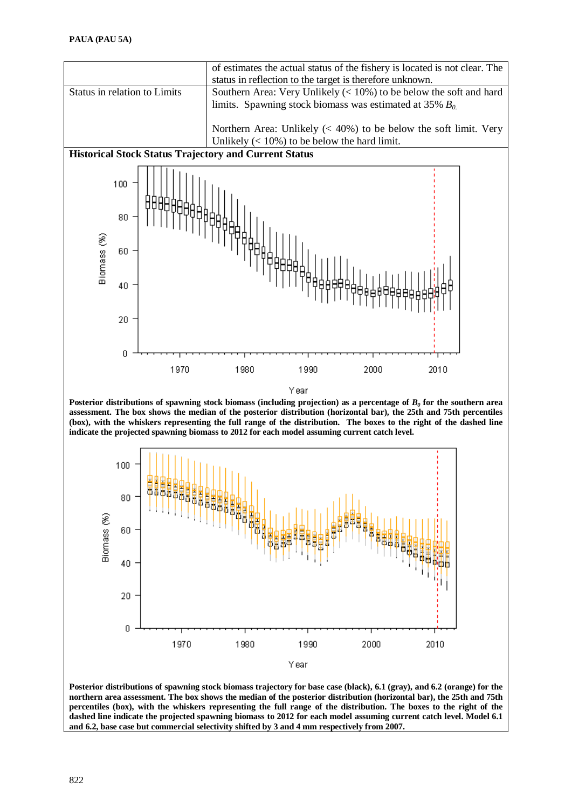

**Posterior distributions of spawning stock biomass trajectory for base case (black), 6.1 (gray), and 6.2 (orange) for the northern area assessment. The box shows the median of the posterior distribution (horizontal bar), the 25th and 75th percentiles (box), with the whiskers representing the full range of the distribution. The boxes to the right of the dashed line indicate the projected spawning biomass to 2012 for each model assuming current catch level. Model 6.1 and 6.2, base case but commercial selectivity shifted by 3 and 4 mm respectively from 2007.**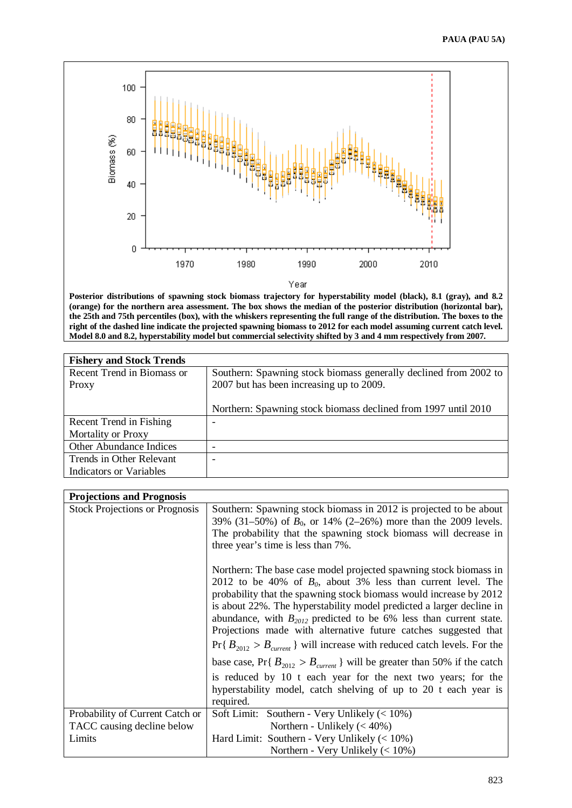

Year

**Posterior distributions of spawning stock biomass trajectory for hyperstability model (black), 8.1 (gray), and 8.2 (orange) for the northern area assessment. The box shows the median of the posterior distribution (horizontal bar), the 25th and 75th percentiles (box), with the whiskers representing the full range of the distribution. The boxes to the right of the dashed line indicate the projected spawning biomass to 2012 for each model assuming current catch level. Model 8.0 and 8.2, hyperstability model but commercial selectivity shifted by 3 and 4 mm respectively from 2007.**

| <b>Fishery and Stock Trends</b> |                                                                  |
|---------------------------------|------------------------------------------------------------------|
| Recent Trend in Biomass or      | Southern: Spawning stock biomass generally declined from 2002 to |
| Proxy                           | 2007 but has been increasing up to 2009.                         |
|                                 |                                                                  |
|                                 | Northern: Spawning stock biomass declined from 1997 until 2010   |
| Recent Trend in Fishing         |                                                                  |
| Mortality or Proxy              |                                                                  |
| Other Abundance Indices         |                                                                  |
| Trends in Other Relevant        |                                                                  |
| Indicators or Variables         |                                                                  |

| <b>Projections and Prognosis</b>                                                                                                                                                                                                                                                                                                                                                                                                                                                                                    |
|---------------------------------------------------------------------------------------------------------------------------------------------------------------------------------------------------------------------------------------------------------------------------------------------------------------------------------------------------------------------------------------------------------------------------------------------------------------------------------------------------------------------|
|                                                                                                                                                                                                                                                                                                                                                                                                                                                                                                                     |
| <b>Stock Projections or Prognosis</b><br>Southern: Spawning stock biomass in 2012 is projected to be about<br>39% (31–50%) of $B_0$ , or 14% (2–26%) more than the 2009 levels.<br>The probability that the spawning stock biomass will decrease in<br>three year's time is less than 7%.                                                                                                                                                                                                                           |
| Northern: The base case model projected spawning stock biomass in<br>2012 to be 40% of $B_0$ , about 3% less than current level. The<br>probability that the spawning stock biomass would increase by 2012<br>is about 22%. The hyperstability model predicted a larger decline in<br>abundance, with $B_{2012}$ predicted to be 6% less than current state.<br>Projections made with alternative future catches suggested that<br>$Pr\{B_{2012} > B_{current}\}\$ will increase with reduced catch levels. For the |
| base case, Pr{ $B_{2012} > B_{current}$ } will be greater than 50% if the catch                                                                                                                                                                                                                                                                                                                                                                                                                                     |
| is reduced by 10 t each year for the next two years; for the<br>hyperstability model, catch shelving of up to 20 t each year is<br>required.                                                                                                                                                                                                                                                                                                                                                                        |
| Probability of Current Catch or<br>Soft Limit: Southern - Very Unlikely $(< 10\%)$                                                                                                                                                                                                                                                                                                                                                                                                                                  |
| TACC causing decline below<br>Northern - Unlikely $(< 40\%)$                                                                                                                                                                                                                                                                                                                                                                                                                                                        |
| Hard Limit: Southern - Very Unlikely $(< 10\%)$<br>Limits                                                                                                                                                                                                                                                                                                                                                                                                                                                           |
| Northern - Very Unlikely $(< 10\%)$                                                                                                                                                                                                                                                                                                                                                                                                                                                                                 |